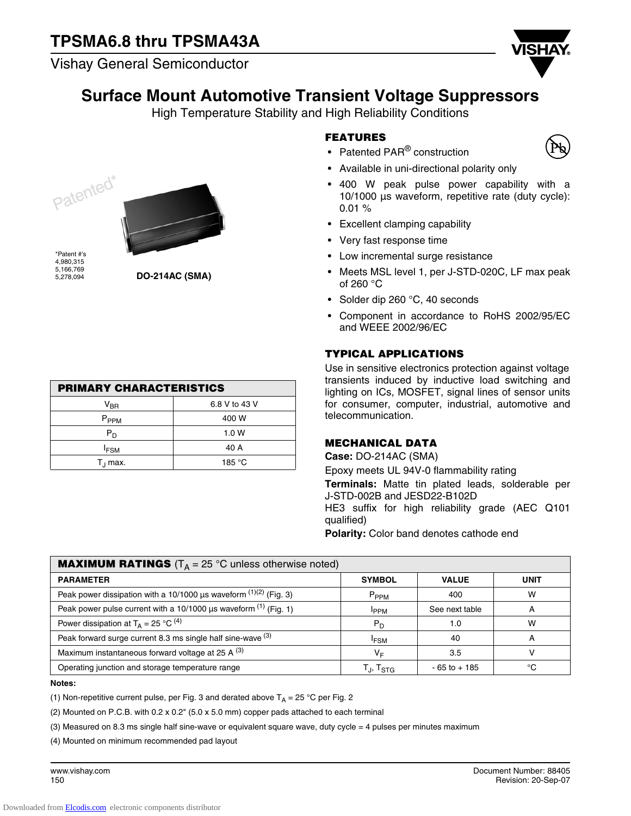Vishay General Semiconductor



## **Surface Mount Automotive Transient Voltage Suppressors**

High Temperature Stability and High Reliability Conditions





\*Patent #'s 4,980,315 5,166,769 5,278,094

**DO-214AC (SMA)**

 $V_{\rm BR}$  6.8 V to 43 V P<sub>PPM</sub> 400 W  $P_D$  1.0 W  $I_{FSM}$  40 A  $T_1$  max.  $\qquad \qquad$  185 °C

**PRIMARY CHARACTERISTICS**

### **FEATURES**

- Patented PAR<sup>®</sup> construction
- Available in uni-directional polarity only
- 400 W peak pulse power capability with a 10/1000 µs waveform, repetitive rate (duty cycle): 0.01 %
- Excellent clamping capability
- Very fast response time
- Low incremental surge resistance
- Meets MSL level 1, per J-STD-020C, LF max peak of 260 °C
- Solder dip 260 °C, 40 seconds
- Component in accordance to RoHS 2002/95/EC and WEEE 2002/96/EC

## **TYPICAL APPLICATIONS**

Use in sensitive electronics protection against voltage transients induced by inductive load switching and lighting on ICs, MOSFET, signal lines of sensor units for consumer, computer, industrial, automotive and telecommunication.

### **MECHANICAL DATA**

**Case:** DO-214AC (SMA)

Epoxy meets UL 94V-0 flammability rating

**Terminals:** Matte tin plated leads, solderable per J-STD-002B and JESD22-B102D HE3 suffix for high reliability grade (AEC Q101 qualified)

**Polarity:** Color band denotes cathode end

| <b>MAXIMUM RATINGS</b> ( $T_A = 25$ °C unless otherwise noted)                    |                             |                 |             |  |  |  |  |
|-----------------------------------------------------------------------------------|-----------------------------|-----------------|-------------|--|--|--|--|
| <b>PARAMETER</b>                                                                  | <b>SYMBOL</b>               | <b>VALUE</b>    | <b>UNIT</b> |  |  |  |  |
| Peak power dissipation with a 10/1000 $\mu$ s waveform <sup>(1)(2)</sup> (Fig. 3) | $P_{PPM}$                   | 400             | W           |  |  |  |  |
| Peak power pulse current with a 10/1000 $\mu$ s waveform <sup>(1)</sup> (Fig. 1)  | <b>IPPM</b>                 | See next table  | A           |  |  |  |  |
| Power dissipation at $T_A = 25 \degree C^{(4)}$                                   | $P_D$                       | 1.0             | w           |  |  |  |  |
| Peak forward surge current 8.3 ms single half sine-wave (3)                       | <b>IFSM</b>                 | 40              |             |  |  |  |  |
| Maximum instantaneous forward voltage at 25 A $(3)$                               | VF                          | 3.5             |             |  |  |  |  |
| Operating junction and storage temperature range                                  | $T_{\rm J}$ , $T_{\rm STG}$ | $-65$ to $+185$ | °C          |  |  |  |  |

#### **Notes:**

(1) Non-repetitive current pulse, per Fig. 3 and derated above  $T_A = 25 \degree C$  per Fig. 2

(2) Mounted on P.C.B. with  $0.2 \times 0.2$ " (5.0  $\times$  5.0 mm) copper pads attached to each terminal

(3) Measured on 8.3 ms single half sine-wave or equivalent square wave, duty cycle = 4 pulses per minutes maximum

(4) Mounted on minimum recommended pad layout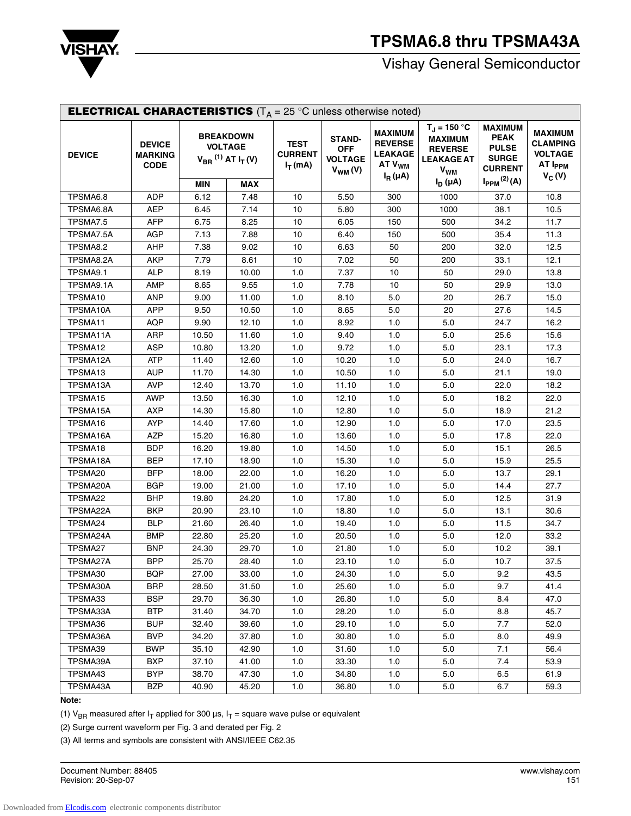

# **TPSMA6.8 thru TPSMA43A**

Vishay General Semiconductor

| <b>ELECTRICAL CHARACTERISTICS</b> ( $T_A = 25$ °C unless otherwise noted) |                                                |       |                                                                                          |                                             |                                                               |                                                                                          |                                                                                                                  |                                                                                                                 |                                                                                        |
|---------------------------------------------------------------------------|------------------------------------------------|-------|------------------------------------------------------------------------------------------|---------------------------------------------|---------------------------------------------------------------|------------------------------------------------------------------------------------------|------------------------------------------------------------------------------------------------------------------|-----------------------------------------------------------------------------------------------------------------|----------------------------------------------------------------------------------------|
| <b>DEVICE</b>                                                             | <b>DEVICE</b><br><b>MARKING</b><br><b>CODE</b> | MIN   | <b>BREAKDOWN</b><br><b>VOLTAGE</b><br>$V_{BR}$ <sup>(1)</sup> AT $I_T$ (V)<br><b>MAX</b> | <b>TEST</b><br><b>CURRENT</b><br>$I_T$ (mA) | <b>STAND-</b><br><b>OFF</b><br><b>VOLTAGE</b><br>$V_{WM} (V)$ | <b>MAXIMUM</b><br><b>REVERSE</b><br><b>LEAKAGE</b><br>AT V <sub>WM</sub><br>$I_R(\mu A)$ | $T_J = 150 °C$<br><b>MAXIMUM</b><br><b>REVERSE</b><br><b>LEAKAGE AT</b><br><b>V<sub>WM</sub></b><br>$I_D(\mu A)$ | <b>MAXIMUM</b><br><b>PEAK</b><br><b>PULSE</b><br><b>SURGE</b><br><b>CURRENT</b><br>$I_{PPM}$ <sup>(2)</sup> (A) | <b>MAXIMUM</b><br><b>CLAMPING</b><br><b>VOLTAGE</b><br>AT I <sub>PPM</sub><br>$V_C(V)$ |
| TPSMA6.8                                                                  | <b>ADP</b>                                     | 6.12  | 7.48                                                                                     | 10                                          | 5.50                                                          | 300                                                                                      | 1000                                                                                                             | 37.0                                                                                                            | 10.8                                                                                   |
| TPSMA6.8A                                                                 | <b>AEP</b>                                     | 6.45  | 7.14                                                                                     | 10                                          | 5.80                                                          | 300                                                                                      | 1000                                                                                                             | 38.1                                                                                                            | 10.5                                                                                   |
| TPSMA7.5                                                                  | <b>AFP</b>                                     | 6.75  | 8.25                                                                                     | 10                                          | 6.05                                                          | 150                                                                                      | 500                                                                                                              | 34.2                                                                                                            | 11.7                                                                                   |
| TPSMA7.5A                                                                 | <b>AGP</b>                                     | 7.13  | 7.88                                                                                     | 10                                          | 6.40                                                          | 150                                                                                      | 500                                                                                                              | 35.4                                                                                                            | 11.3                                                                                   |
| TPSMA8.2                                                                  | AHP                                            | 7.38  | 9.02                                                                                     | 10                                          | 6.63                                                          | 50                                                                                       | 200                                                                                                              | 32.0                                                                                                            | 12.5                                                                                   |
| TPSMA8.2A                                                                 | <b>AKP</b>                                     | 7.79  | 8.61                                                                                     | $10$                                        | 7.02                                                          | 50                                                                                       | 200                                                                                                              | 33.1                                                                                                            | 12.1                                                                                   |
| TPSMA9.1                                                                  | <b>ALP</b>                                     | 8.19  | 10.00                                                                                    | 1.0                                         | 7.37                                                          | $10$                                                                                     | 50                                                                                                               | 29.0                                                                                                            | 13.8                                                                                   |
| TPSMA9.1A                                                                 | <b>AMP</b>                                     | 8.65  | 9.55                                                                                     | 1.0                                         | 7.78                                                          | $10$                                                                                     | 50                                                                                                               | 29.9                                                                                                            | 13.0                                                                                   |
| TPSMA10                                                                   | <b>ANP</b>                                     | 9.00  | 11.00                                                                                    | 1.0                                         | 8.10                                                          | 5.0                                                                                      | 20                                                                                                               | 26.7                                                                                                            | 15.0                                                                                   |
| TPSMA10A                                                                  | <b>APP</b>                                     | 9.50  | 10.50                                                                                    | 1.0                                         | 8.65                                                          | 5.0                                                                                      | 20                                                                                                               | 27.6                                                                                                            | 14.5                                                                                   |
| TPSMA11                                                                   | <b>AQP</b>                                     | 9.90  | 12.10                                                                                    | 1.0                                         | 8.92                                                          | 1.0                                                                                      | 5.0                                                                                                              | 24.7                                                                                                            | 16.2                                                                                   |
| TPSMA11A                                                                  | <b>ARP</b>                                     | 10.50 | 11.60                                                                                    | 1.0                                         | 9.40                                                          | 1.0                                                                                      | $5.0\,$                                                                                                          | 25.6                                                                                                            | 15.6                                                                                   |
| TPSMA12                                                                   | <b>ASP</b>                                     | 10.80 | 13.20                                                                                    | 1.0                                         | 9.72                                                          | 1.0                                                                                      | 5.0                                                                                                              | 23.1                                                                                                            | 17.3                                                                                   |
| TPSMA12A                                                                  | <b>ATP</b>                                     | 11.40 | 12.60                                                                                    | 1.0                                         | 10.20                                                         | 1.0                                                                                      | 5.0                                                                                                              | 24.0                                                                                                            | 16.7                                                                                   |
| TPSMA13                                                                   | <b>AUP</b>                                     | 11.70 | 14.30                                                                                    | 1.0                                         | 10.50                                                         | 1.0                                                                                      | 5.0                                                                                                              | 21.1                                                                                                            | 19.0                                                                                   |
| TPSMA13A                                                                  | <b>AVP</b>                                     | 12.40 | 13.70                                                                                    | 1.0                                         | 11.10                                                         | 1.0                                                                                      | 5.0                                                                                                              | 22.0                                                                                                            | 18.2                                                                                   |
| TPSMA15                                                                   | AWP                                            | 13.50 | 16.30                                                                                    | 1.0                                         | 12.10                                                         | 1.0                                                                                      | 5.0                                                                                                              | 18.2                                                                                                            | 22.0                                                                                   |
| TPSMA15A                                                                  | <b>AXP</b>                                     | 14.30 | 15.80                                                                                    | 1.0                                         | 12.80                                                         | 1.0                                                                                      | 5.0                                                                                                              | 18.9                                                                                                            | 21.2                                                                                   |
| TPSMA16                                                                   | <b>AYP</b>                                     | 14.40 | 17.60                                                                                    | 1.0                                         | 12.90                                                         | $1.0$                                                                                    | 5.0                                                                                                              | 17.0                                                                                                            | 23.5                                                                                   |
| TPSMA16A                                                                  | <b>AZP</b>                                     | 15.20 | 16.80                                                                                    | 1.0                                         | 13.60                                                         | 1.0                                                                                      | 5.0                                                                                                              | 17.8                                                                                                            | 22.0                                                                                   |
| TPSMA18                                                                   | BDP                                            | 16.20 | 19.80                                                                                    | 1.0                                         | 14.50                                                         | 1.0                                                                                      | 5.0                                                                                                              | 15.1                                                                                                            | 26.5                                                                                   |
| TPSMA18A                                                                  | <b>BEP</b>                                     | 17.10 | 18.90                                                                                    | 1.0                                         | 15.30                                                         | 1.0                                                                                      | $5.0$                                                                                                            | 15.9                                                                                                            | 25.5                                                                                   |
| TPSMA20                                                                   | <b>BFP</b>                                     | 18.00 | 22.00                                                                                    | 1.0                                         | 16.20                                                         | 1.0                                                                                      | 5.0                                                                                                              | 13.7                                                                                                            | 29.1                                                                                   |
| TPSMA20A                                                                  | <b>BGP</b>                                     | 19.00 | 21.00                                                                                    | 1.0                                         | 17.10                                                         | 1.0                                                                                      | 5.0                                                                                                              | 14.4                                                                                                            | 27.7                                                                                   |
| TPSMA22                                                                   | <b>BHP</b>                                     | 19.80 | 24.20                                                                                    | 1.0                                         | 17.80                                                         | 1.0                                                                                      | 5.0                                                                                                              | 12.5                                                                                                            | 31.9                                                                                   |
| TPSMA22A                                                                  | <b>BKP</b>                                     | 20.90 | 23.10                                                                                    | 1.0                                         | 18.80                                                         | 1.0                                                                                      | 5.0                                                                                                              | 13.1                                                                                                            | 30.6                                                                                   |
| TPSMA24                                                                   | <b>BLP</b>                                     | 21.60 | 26.40                                                                                    | 1.0                                         | 19.40                                                         | 1.0                                                                                      | 5.0                                                                                                              | 11.5                                                                                                            | 34.7                                                                                   |
| TPSMA24A                                                                  | <b>BMP</b>                                     | 22.80 | 25.20                                                                                    | 1.0                                         | 20.50                                                         | 1.0                                                                                      | 5.0                                                                                                              | 12.0                                                                                                            | 33.2                                                                                   |
| TPSMA27                                                                   | <b>BNP</b>                                     | 24.30 | 29.70                                                                                    | 1.0                                         | 21.80                                                         | 1.0                                                                                      | 5.0                                                                                                              | 10.2                                                                                                            | 39.1                                                                                   |
| TPSMA27A                                                                  | <b>BPP</b>                                     | 25.70 | 28.40                                                                                    | $1.0$                                       | 23.10                                                         | $1.0$                                                                                    | 5.0                                                                                                              | 10.7                                                                                                            | 37.5                                                                                   |
| TPSMA30                                                                   | <b>BQP</b>                                     | 27.00 | 33.00                                                                                    | 1.0                                         | 24.30                                                         | 1.0                                                                                      | 5.0                                                                                                              | 9.2                                                                                                             | 43.5                                                                                   |
| TPSMA30A                                                                  | BRP                                            | 28.50 | 31.50                                                                                    | 1.0                                         | 25.60                                                         | 1.0                                                                                      | 5.0                                                                                                              | 9.7                                                                                                             | 41.4                                                                                   |
| TPSMA33                                                                   | BSP                                            | 29.70 | 36.30                                                                                    | 1.0                                         | 26.80                                                         | 1.0                                                                                      | 5.0                                                                                                              | 8.4                                                                                                             | 47.0                                                                                   |
| TPSMA33A                                                                  | <b>BTP</b>                                     | 31.40 | 34.70                                                                                    | 1.0                                         | 28.20                                                         | 1.0                                                                                      | 5.0                                                                                                              | 8.8                                                                                                             | 45.7                                                                                   |
| TPSMA36                                                                   | <b>BUP</b>                                     | 32.40 | 39.60                                                                                    | 1.0                                         | 29.10                                                         | 1.0                                                                                      | 5.0                                                                                                              | 7.7                                                                                                             | 52.0                                                                                   |
| TPSMA36A                                                                  | <b>BVP</b>                                     | 34.20 | 37.80                                                                                    | 1.0                                         | 30.80                                                         | 1.0                                                                                      | 5.0                                                                                                              | 8.0                                                                                                             | 49.9                                                                                   |
| TPSMA39                                                                   | BWP                                            | 35.10 | 42.90                                                                                    | 1.0                                         | 31.60                                                         | 1.0                                                                                      | 5.0                                                                                                              | 7.1                                                                                                             | 56.4                                                                                   |
| TPSMA39A                                                                  | BXP                                            | 37.10 | 41.00                                                                                    | 1.0                                         | 33.30                                                         | 1.0                                                                                      | 5.0                                                                                                              | 7.4                                                                                                             | 53.9                                                                                   |
| TPSMA43                                                                   | BYP                                            | 38.70 | 47.30                                                                                    | 1.0                                         | 34.80                                                         | 1.0                                                                                      | 5.0                                                                                                              | 6.5                                                                                                             | 61.9                                                                                   |
| TPSMA43A                                                                  | BZP                                            | 40.90 | 45.20                                                                                    | 1.0                                         | 36.80                                                         | 1.0                                                                                      | 5.0                                                                                                              | 6.7                                                                                                             | 59.3                                                                                   |

#### **Note:**

(1)  $V_{BR}$  measured after  $I_T$  applied for 300  $\mu$ s,  $I_T$  = square wave pulse or equivalent

(2) Surge current waveform per Fig. 3 and derated per Fig. 2

(3) All terms and symbols are consistent with ANSI/IEEE C62.35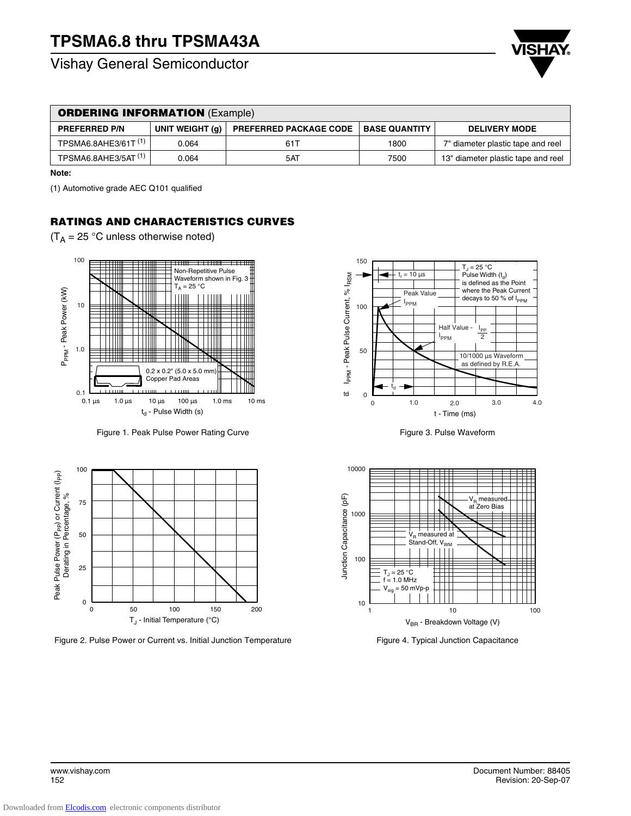Vishay General Semiconductor



| <b>ORDERING INFORMATION (Example)</b> |                 |                               |                      |                                    |  |  |  |
|---------------------------------------|-----------------|-------------------------------|----------------------|------------------------------------|--|--|--|
| <b>PREFERRED P/N</b>                  | UNIT WEIGHT (a) | <b>PREFERRED PACKAGE CODE</b> | <b>BASE QUANTITY</b> | <b>DELIVERY MODE</b>               |  |  |  |
| TPSMA6.8AHE3/61T <sup>(1)</sup>       | 0.064           | 611                           | 1800                 | 7" diameter plastic tape and reel  |  |  |  |
| TPSMA6.8AHE3/5AT <sup>(1)</sup>       | 0.064           | 5AT                           | 7500                 | 13" diameter plastic tape and reel |  |  |  |

**Note:**

(1) Automotive grade AEC Q101 qualified

## **RATINGS AND CHARACTERISTICS CURVES**

 $(T_A = 25 \degree C$  unless otherwise noted)



Figure 1. Peak Pulse Power Rating Curve

0 50 100 100 75 50 25 0 150 200  $T_J$  - Initial Temperature (°C) Peak Pulse Po wer (PPP) or Current (IPP) Derating in Percentage,  $\delta$ 

Figure 2. Pulse Power or Current vs. Initial Junction Temperature



Figure 3. Pulse Waveform



Figure 4. Typical Junction Capacitance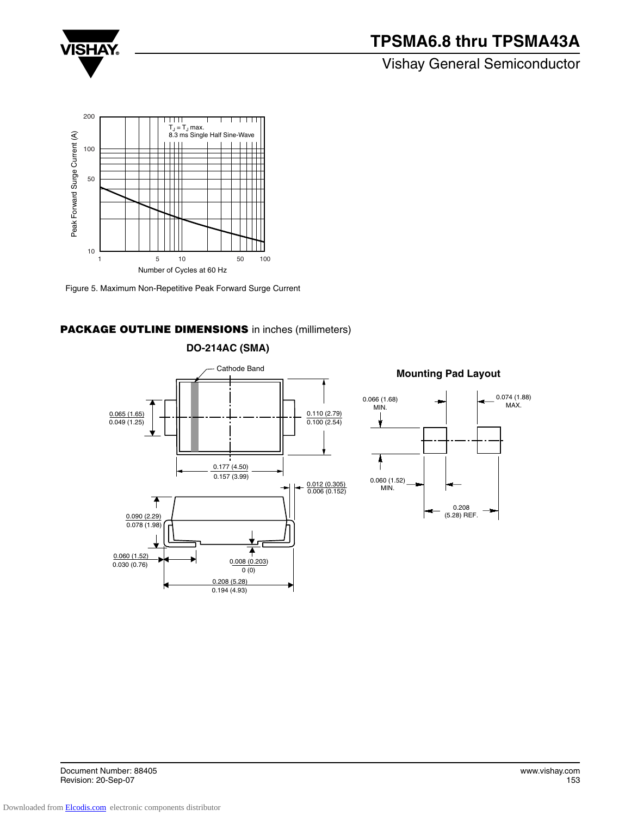

# **TPSMA6.8 thru TPSMA43A**

## Vishay General Semiconductor



Figure 5. Maximum Non-Repetitive Peak Forward Surge Current

### **PACKAGE OUTLINE DIMENSIONS** in inches (millimeters)